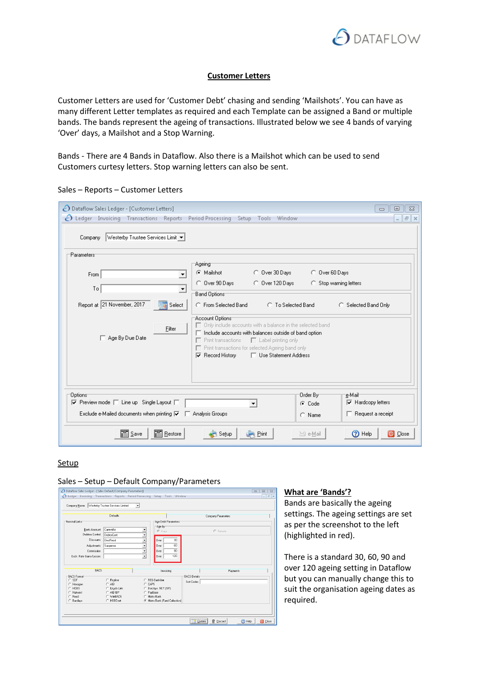

# **Customer Letters**

Customer Letters are used for 'Customer Debt' chasing and sending 'Mailshots'. You can have as many different Letter templates as required and each Template can be assigned a Band or multiple bands. The bands represent the ageing of transactions. Illustrated below we see 4 bands of varying 'Over' days, a Mailshot and a Stop Warning.

Bands - There are 4 Bands in Dataflow. Also there is a Mailshot which can be used to send Customers curtesy letters. Stop warning letters can also be sent.

| ◯ Dataflow Sales Ledger - [Customer Letters]<br>$\bigcirc$ Ledger Invoicing Transactions Reports<br>Vesterby Trustee Services Limit ▼<br>Company                                              | Period Processing<br>Setup Tools Window                                                                                                                                                                                                                                                                                                                                                                                                                                            |                                           | $\Sigma$<br>回<br>$\qquad \qquad \Box$<br>$   \times$                                          |
|-----------------------------------------------------------------------------------------------------------------------------------------------------------------------------------------------|------------------------------------------------------------------------------------------------------------------------------------------------------------------------------------------------------------------------------------------------------------------------------------------------------------------------------------------------------------------------------------------------------------------------------------------------------------------------------------|-------------------------------------------|-----------------------------------------------------------------------------------------------|
| Parameters<br>From<br>To<br>▼<br>Report at 21 November, 2017<br>Select<br>Filter<br>□ Age By Due Date                                                                                         | Ageing<br>C Mailshot<br>C Over 30 Days<br>C Over 90 Days<br>C Over 120 Days<br><b>Band Options</b><br>C From Selected Band<br><b>C</b> To Selected Band<br>Account Options<br>$\Box$ Only include accounts with a balance in the selected band<br>$\Box$ Include accounts with balances outside of band option<br>$\Box$ Print transactions<br>$\Box$ Label printing only<br>Fint transactions for selected Ageing band only<br>$\nabla$ Record History<br>□ Use Statement Address | C Over 60 Days                            | C Stop warning letters<br>C Selected Band Only                                                |
| Options <sup>-</sup><br>$\overline{\vee}$ Preview mode $\Box$ Line up Single Layout $\Box$<br>Exclude e-Mailed documents when printing $\nabla$ $\Box$ Analysis Groups<br>图 Save<br>图 Restore | Print<br>Setup                                                                                                                                                                                                                                                                                                                                                                                                                                                                     | Order By-<br>C Code<br>C Name<br>⊠ e-Mail | e-Mail<br>$\nabla$ Hardcopy letters<br>$\Box$ Request a receipt<br>(?) Help<br><b>O</b> Close |

Sales – Reports – Customer Letters

# **Setup**

#### Sales – Setup – Default Company/Parameters

|                         | Defaults                |                                     | Company Parameters   |  |
|-------------------------|-------------------------|-------------------------------------|----------------------|--|
| Nominal Links:          |                         | Age Debt Parameters                 |                      |  |
|                         |                         | Age by:                             |                      |  |
| <b>Bank Account</b>     | CurrentAc               | C Days                              | C Periods            |  |
| Debtors Control         | DebtorCont              | $\overline{\phantom{a}}$            |                      |  |
| Discounts               | DiscRecd                | ∓<br>$\overline{30}$<br>Over        |                      |  |
| Adjustments             | Suspense                | $\overline{ }$<br>60<br><b>Over</b> |                      |  |
| Commission              |                         | $\overline{ }$<br>90<br>Over        |                      |  |
| Exch. Rate Gains/Losses |                         | ⊋<br>120<br>Over                    |                      |  |
|                         |                         |                                     |                      |  |
|                         |                         |                                     |                      |  |
| <b>BACS</b>             |                         | Invoicing                           | Payments             |  |
| <b>BACS Format:</b>     |                         |                                     | <b>BACS Details:</b> |  |
| $C$ SDF                 | C Royline               | C BBS Bankline                      | Sort Codes           |  |
| C Hexagon               | $C$ AIB                 | C CAPS                              |                      |  |
| $C$ HOBS                | C Lloyds Link           | C Barclays .NET (SIF)               |                      |  |
| C Natured<br>C Fixed    | C AIB IBP<br>C. WinBACS | C PayBase<br>$C$ Metro Bank         |                      |  |

## **What are 'Bands'?**

Bands are basically the ageing settings. The ageing settings are set as per the screenshot to the left (highlighted in red).

There is a standard 30, 60, 90 and over 120 ageing setting in Dataflow but you can manually change this to suit the organisation ageing dates as required.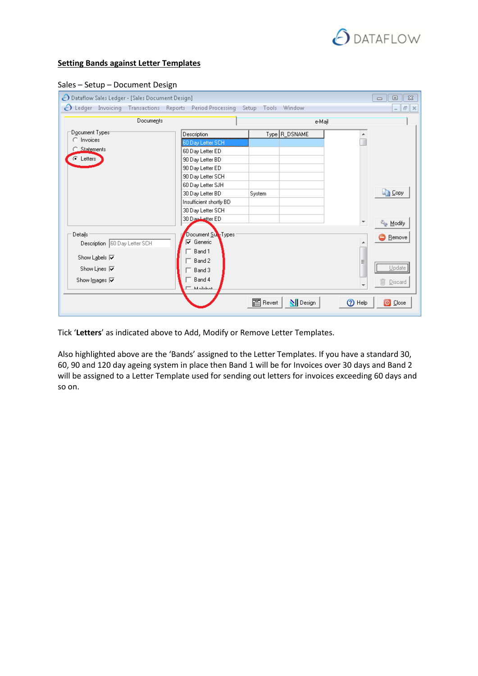

## **Setting Bands against Letter Templates**

|  |  | Sales - Setup - Document Design |
|--|--|---------------------------------|
|--|--|---------------------------------|

| ◯ Dataflow Sales Ledger - [Sales Document Design]                                                                                                               |                                                                                                                                                                                                                                |                             |           | $\Sigma$<br>回<br>$\qquad \qquad \Box$                                |
|-----------------------------------------------------------------------------------------------------------------------------------------------------------------|--------------------------------------------------------------------------------------------------------------------------------------------------------------------------------------------------------------------------------|-----------------------------|-----------|----------------------------------------------------------------------|
| △ Ledger Invoicing Transactions Reports Period Processing                                                                                                       |                                                                                                                                                                                                                                | Setup Tools Window          |           | $E \times$<br>$\overline{a}$                                         |
| Documents                                                                                                                                                       |                                                                                                                                                                                                                                |                             | e-Mail    |                                                                      |
| Document Typest<br>C Invoices<br>C_Statements<br>C Letters                                                                                                      | Description<br>60 Day Letter SCH<br>60 Day Letter ED<br>90 Day Letter BD<br>90 Day Letter ED<br>90 Day Letter SCH<br>60 Day Letter SJH<br>30 Day Letter BD<br>Insufficient shortly BD<br>30 Day Letter SCH<br>30 Dau Letter ED | Type R_DSNAME<br>System     |           | <b>En Copy</b>                                                       |
| Details:<br>Description 60 Day Letter SCH<br>Show Labels $\overline{\mathbf{v}}$<br>Show Lines $ \overline{\mathbf{v}} $<br>Show Images $\overline{\mathbf{v}}$ | Document Sur-Types<br><b>▽</b> Generic<br>$\overline{\phantom{a}}$ Band 1<br>$-$ Band 2<br>$\top$ Band 3<br>$^-$ Band 4<br><b>Killedonk</b>                                                                                    |                             | Ξ         | <sup>2</sup> Modify<br><b>B</b> Remove<br>Update<br><b>m</b> Discard |
|                                                                                                                                                                 |                                                                                                                                                                                                                                | 图 Revert<br><b>N</b> Design | ℗<br>Help | O Close                                                              |

Tick '**Letters**' as indicated above to Add, Modify or Remove Letter Templates.

Also highlighted above are the 'Bands' assigned to the Letter Templates. If you have a standard 30, 60, 90 and 120 day ageing system in place then Band 1 will be for Invoices over 30 days and Band 2 will be assigned to a Letter Template used for sending out letters for invoices exceeding 60 days and so on.